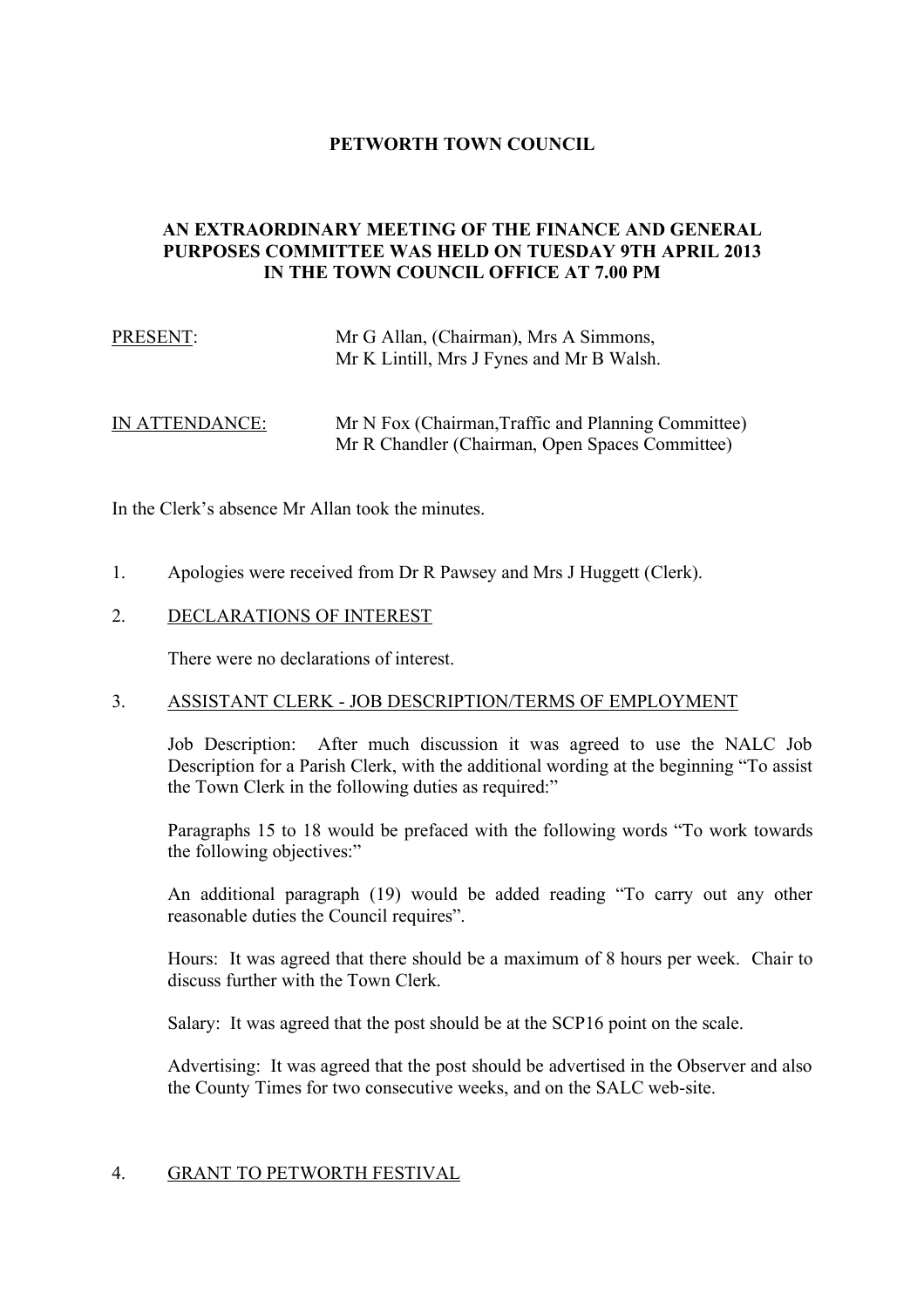# **PETWORTH TOWN COUNCIL**

## **AN EXTRAORDINARY MEETING OF THE FINANCE AND GENERAL PURPOSES COMMITTEE WAS HELD ON TUESDAY 9TH APRIL 2013 IN THE TOWN COUNCIL OFFICE AT 7.00 PM**

| PRESENT: | Mr G Allan, (Chairman), Mrs A Simmons,    |
|----------|-------------------------------------------|
|          | Mr K Lintill, Mrs J Fynes and Mr B Walsh. |

# IN ATTENDANCE: Mr N Fox (Chairman,Traffic and Planning Committee) Mr R Chandler (Chairman, Open Spaces Committee)

In the Clerk's absence Mr Allan took the minutes.

1. Apologies were received from Dr R Pawsey and Mrs J Huggett (Clerk).

### 2. DECLARATIONS OF INTEREST

There were no declarations of interest.

#### 3. ASSISTANT CLERK - JOB DESCRIPTION/TERMS OF EMPLOYMENT

Job Description: After much discussion it was agreed to use the NALC Job Description for a Parish Clerk, with the additional wording at the beginning "To assist the Town Clerk in the following duties as required:"

Paragraphs 15 to 18 would be prefaced with the following words "To work towards the following objectives:"

An additional paragraph (19) would be added reading "To carry out any other reasonable duties the Council requires".

Hours: It was agreed that there should be a maximum of 8 hours per week. Chair to discuss further with the Town Clerk.

Salary: It was agreed that the post should be at the SCP16 point on the scale.

Advertising: It was agreed that the post should be advertised in the Observer and also the County Times for two consecutive weeks, and on the SALC web-site.

### 4. GRANT TO PETWORTH FESTIVAL